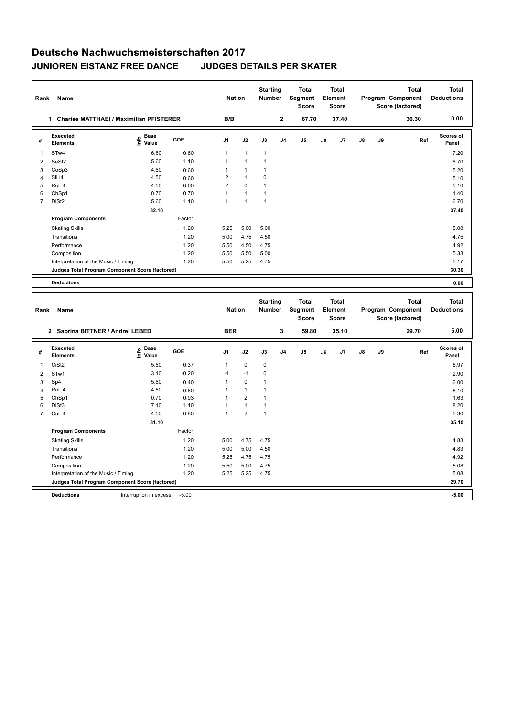## **Deutsche Nachwuchsmeisterschaften 2017 JUNIOREN EISTANZ FREE DANCE JUDGES DETAILS PER SKATER**

| Rank           | Name                                                 |                                  |        | <b>Nation</b>  |              | <b>Starting</b><br><b>Number</b> |                | Total<br>Segment<br><b>Score</b> |    | <b>Total</b><br>Element<br>Score |               |    | Total<br>Program Component<br>Score (factored) | <b>Total</b><br><b>Deductions</b> |
|----------------|------------------------------------------------------|----------------------------------|--------|----------------|--------------|----------------------------------|----------------|----------------------------------|----|----------------------------------|---------------|----|------------------------------------------------|-----------------------------------|
|                | <b>Charise MATTHAEI / Maximilian PFISTERER</b><br>1. |                                  |        | B/B            |              |                                  | $\overline{2}$ | 67.70                            |    | 37.40                            |               |    | 30.30                                          | 0.00                              |
| #              | Executed<br><b>Elements</b>                          | <b>Base</b><br>e Base<br>⊆ Value | GOE    | J <sub>1</sub> | J2           | J3                               | J <sub>4</sub> | J <sub>5</sub>                   | J6 | J7                               | $\mathsf{J}8$ | J9 | Ref                                            | Scores of<br>Panel                |
| $\mathbf{1}$   | STw4                                                 | 6.60                             | 0.60   | $\overline{1}$ | $\mathbf{1}$ | $\overline{1}$                   |                |                                  |    |                                  |               |    |                                                | 7.20                              |
| 2              | SeSt <sub>2</sub>                                    | 5.60                             | 1.10   |                | 1            |                                  |                |                                  |    |                                  |               |    |                                                | 6.70                              |
| 3              | CoSp3                                                | 4.60                             | 0.60   |                | 1            | 1                                |                |                                  |    |                                  |               |    |                                                | 5.20                              |
| 4              | SILi4                                                | 4.50                             | 0.60   | 2              | $\mathbf{1}$ | 0                                |                |                                  |    |                                  |               |    |                                                | 5.10                              |
| 5              | RoLi4                                                | 4.50                             | 0.60   | 2              | $\Omega$     | и                                |                |                                  |    |                                  |               |    |                                                | 5.10                              |
| 6              | ChSp1                                                | 0.70                             | 0.70   |                | $\mathbf{1}$ | 1                                |                |                                  |    |                                  |               |    |                                                | 1.40                              |
| $\overline{7}$ | DiSt <sub>2</sub>                                    | 5.60                             | 1.10   | 1              | 1            | 1                                |                |                                  |    |                                  |               |    |                                                | 6.70                              |
|                |                                                      | 32.10                            |        |                |              |                                  |                |                                  |    |                                  |               |    |                                                | 37.40                             |
|                | <b>Program Components</b>                            |                                  | Factor |                |              |                                  |                |                                  |    |                                  |               |    |                                                |                                   |
|                | <b>Skating Skills</b>                                |                                  | 1.20   | 5.25           | 5.00         | 5.00                             |                |                                  |    |                                  |               |    |                                                | 5.08                              |
|                | Transitions                                          |                                  | 1.20   | 5.00           | 4.75         | 4.50                             |                |                                  |    |                                  |               |    |                                                | 4.75                              |
|                | Performance                                          |                                  | 1.20   | 5.50           | 4.50         | 4.75                             |                |                                  |    |                                  |               |    |                                                | 4.92                              |
|                | Composition                                          |                                  | 1.20   | 5.50           | 5.50         | 5.00                             |                |                                  |    |                                  |               |    |                                                | 5.33                              |
|                | Interpretation of the Music / Timing                 |                                  | 1.20   | 5.50           | 5.25         | 4.75                             |                |                                  |    |                                  |               |    |                                                | 5.17                              |
|                | Judges Total Program Component Score (factored)      |                                  |        |                |              |                                  |                |                                  |    |                                  |               |    |                                                | 30.30                             |
|                | <b>Deductions</b>                                    |                                  |        |                |              |                                  |                |                                  |    |                                  |               |    |                                                | 0.00                              |

| Rank<br>Name<br>2 Sabrina BITTNER / Andrei LEBED |                                                 |                                           |            |                | <b>Nation</b><br><b>BER</b> |              | <b>Starting</b><br><b>Number</b><br>3 | <b>Total</b><br>Segment<br><b>Score</b><br>59.80 | <b>Total</b><br>Element<br><b>Score</b><br>35.10 |    | Program Component |       | <b>Total</b><br>Score (factored)<br>29.70 | <b>Total</b><br><b>Deductions</b><br>5.00 |
|--------------------------------------------------|-------------------------------------------------|-------------------------------------------|------------|----------------|-----------------------------|--------------|---------------------------------------|--------------------------------------------------|--------------------------------------------------|----|-------------------|-------|-------------------------------------------|-------------------------------------------|
| #                                                | Executed<br><b>Elements</b>                     | $\frac{e}{E}$ Base<br>$\frac{E}{E}$ Value | <b>GOE</b> | J <sub>1</sub> | J2                          | J3           | J <sub>4</sub>                        | J <sub>5</sub>                                   | J6                                               | J7 | $\mathsf{J}8$     | J9    | Ref                                       | Scores of<br>Panel                        |
| 1                                                | CiSt <sub>2</sub>                               | 5.60                                      | 0.37       | $\mathbf{1}$   | $\mathbf 0$                 | $\mathbf 0$  |                                       |                                                  |                                                  |    |                   |       |                                           | 5.97                                      |
| $\overline{2}$                                   | STw1                                            | 3.10                                      | $-0.20$    | $-1$           | $-1$                        | 0            |                                       |                                                  |                                                  |    |                   |       |                                           | 2.90                                      |
| 3                                                | Sp4                                             | 5.60                                      | 0.40       | 1              | $\mathbf 0$                 | -1           |                                       |                                                  |                                                  |    |                   |       |                                           | 6.00                                      |
| 4                                                | RoLi4                                           | 4.50                                      | 0.60       | 1              | $\mathbf{1}$                | 1            |                                       |                                                  |                                                  |    |                   |       |                                           | 5.10                                      |
| 5                                                | ChSp1                                           | 0.70                                      | 0.93       | $\mathbf{1}$   | $\overline{2}$              | 1            |                                       |                                                  |                                                  |    |                   |       |                                           | 1.63                                      |
| 6                                                | DiSt <sub>3</sub>                               | 7.10                                      | 1.10       | $\overline{1}$ | $\mathbf{1}$                | $\mathbf{1}$ |                                       |                                                  |                                                  |    |                   |       |                                           | 8.20                                      |
| 7                                                | CuLi4                                           | 4.50                                      | 0.80       | $\overline{1}$ | $\overline{2}$              | $\mathbf{1}$ |                                       |                                                  |                                                  |    |                   |       |                                           | 5.30                                      |
|                                                  |                                                 |                                           |            |                |                             |              |                                       |                                                  |                                                  |    |                   | 35.10 |                                           |                                           |
|                                                  | <b>Program Components</b>                       |                                           | Factor     |                |                             |              |                                       |                                                  |                                                  |    |                   |       |                                           |                                           |
|                                                  | <b>Skating Skills</b>                           |                                           | 1.20       | 5.00           | 4.75                        | 4.75         |                                       |                                                  |                                                  |    |                   |       |                                           | 4.83                                      |
|                                                  | Transitions                                     |                                           | 1.20       | 5.00           | 5.00                        | 4.50         |                                       |                                                  |                                                  |    |                   |       |                                           | 4.83                                      |
|                                                  | Performance                                     |                                           | 1.20       | 5.25           | 4.75                        | 4.75         |                                       |                                                  |                                                  |    |                   |       |                                           | 4.92                                      |
|                                                  | Composition                                     |                                           | 1.20       | 5.50           | 5.00                        | 4.75         |                                       |                                                  |                                                  |    |                   |       |                                           | 5.08                                      |
|                                                  | Interpretation of the Music / Timing            |                                           | 1.20       | 5.25           | 5.25                        | 4.75         |                                       |                                                  |                                                  |    |                   |       |                                           | 5.08                                      |
|                                                  | Judges Total Program Component Score (factored) |                                           |            |                |                             |              |                                       |                                                  |                                                  |    |                   | 29.70 |                                           |                                           |
|                                                  | <b>Deductions</b>                               | Interruption in excess:                   | $-5.00$    |                |                             |              |                                       |                                                  |                                                  |    |                   |       |                                           | $-5.00$                                   |